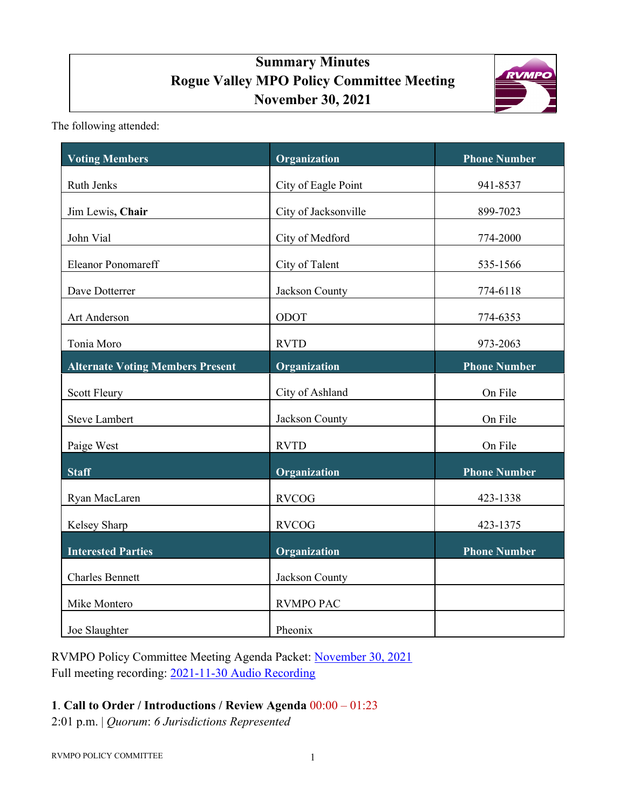# **Summary Minutes Rogue Valley MPO Policy Committee Meeting November 30, 2021**



The following attended:

| <b>Voting Members</b>                   | Organization         | <b>Phone Number</b> |
|-----------------------------------------|----------------------|---------------------|
| Ruth Jenks                              | City of Eagle Point  | 941-8537            |
| Jim Lewis, Chair                        | City of Jacksonville | 899-7023            |
| John Vial                               | City of Medford      | 774-2000            |
| <b>Eleanor Ponomareff</b>               | City of Talent       | 535-1566            |
| Dave Dotterrer                          | Jackson County       | 774-6118            |
| Art Anderson                            | ODOT                 | 774-6353            |
| Tonia Moro                              | <b>RVTD</b>          | 973-2063            |
| <b>Alternate Voting Members Present</b> | Organization         | <b>Phone Number</b> |
| <b>Scott Fleury</b>                     | City of Ashland      | On File             |
| <b>Steve Lambert</b>                    | Jackson County       | On File             |
| Paige West                              | <b>RVTD</b>          | On File             |
| <b>Staff</b>                            | Organization         | <b>Phone Number</b> |
| Ryan MacLaren                           | <b>RVCOG</b>         | 423-1338            |
| Kelsey Sharp                            | <b>RVCOG</b>         | 423-1375            |
| <b>Interested Parties</b>               | Organization         | <b>Phone Number</b> |
| <b>Charles Bennett</b>                  | Jackson County       |                     |
| Mike Montero                            | <b>RVMPO PAC</b>     |                     |
| Joe Slaughter                           | Pheonix              |                     |

RVMPO Policy Committee Meeting Agenda Packet: [November 30, 2021](https://rvmpo.org/wp-content/uploads/2019/09/RVMPO-PolComm-Agenda-Packet-11-30-2021.pdf) Full meeting recording: [2021-11-30 Audio Recording](https://rvmpo.org/wp-content/uploads/2019/09/11_30_2021_RVMPO_PolComm-Audio.mp3) 

## **1**. **Call to Order / Introductions / Review Agenda** 00:00 – 01:23

2:01 p.m. | *Quorum*: *6 Jurisdictions Represented*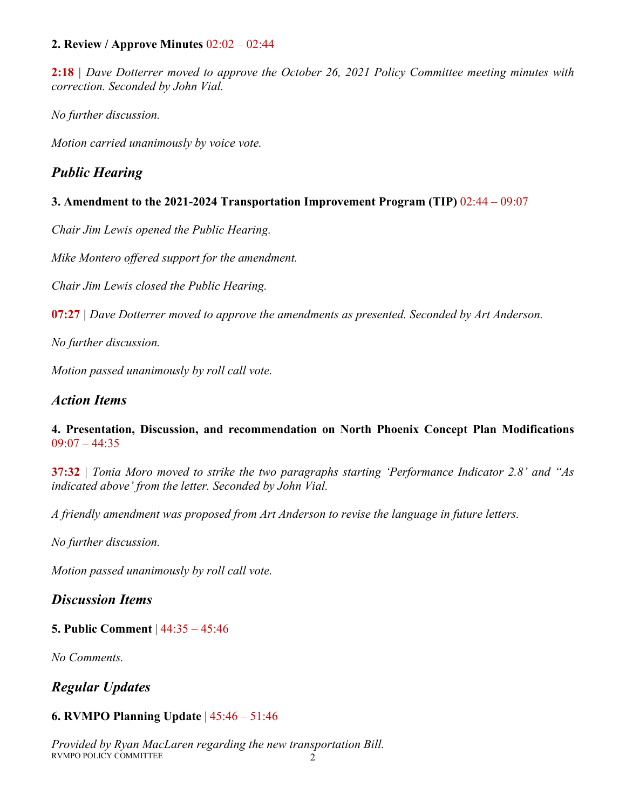#### **2. Review / Approve Minutes** 02:02 – 02:44

**2:18** *| Dave Dotterrer moved to approve the October 26, 2021 Policy Committee meeting minutes with correction. Seconded by John Vial.* 

*No further discussion.* 

*Motion carried unanimously by voice vote.*

## *Public Hearing*

#### **3. Amendment to the 2021-2024 Transportation Improvement Program (TIP)** 02:44 – 09:07

*Chair Jim Lewis opened the Public Hearing.*

*Mike Montero offered support for the amendment.* 

*Chair Jim Lewis closed the Public Hearing.*

**07:27** *| Dave Dotterrer moved to approve the amendments as presented. Seconded by Art Anderson.* 

*No further discussion.*

*Motion passed unanimously by roll call vote.*

## *Action Items*

#### **4. Presentation, Discussion, and recommendation on North Phoenix Concept Plan Modifications**  $09:07 - 44:35$

**37:32** *| Tonia Moro moved to strike the two paragraphs starting 'Performance Indicator 2.8' and "As indicated above' from the letter. Seconded by John Vial.* 

*A friendly amendment was proposed from Art Anderson to revise the language in future letters.* 

*No further discussion.*

*Motion passed unanimously by roll call vote.*

## *Discussion Items*

#### **5. Public Comment** | 44:35 – 45:46

*No Comments.* 

*Regular Updates*

#### **6. RVMPO Planning Update** | 45:46 – 51:46

RVMPO POLICY COMMITTEE 2 *Provided by Ryan MacLaren regarding the new transportation Bill.*